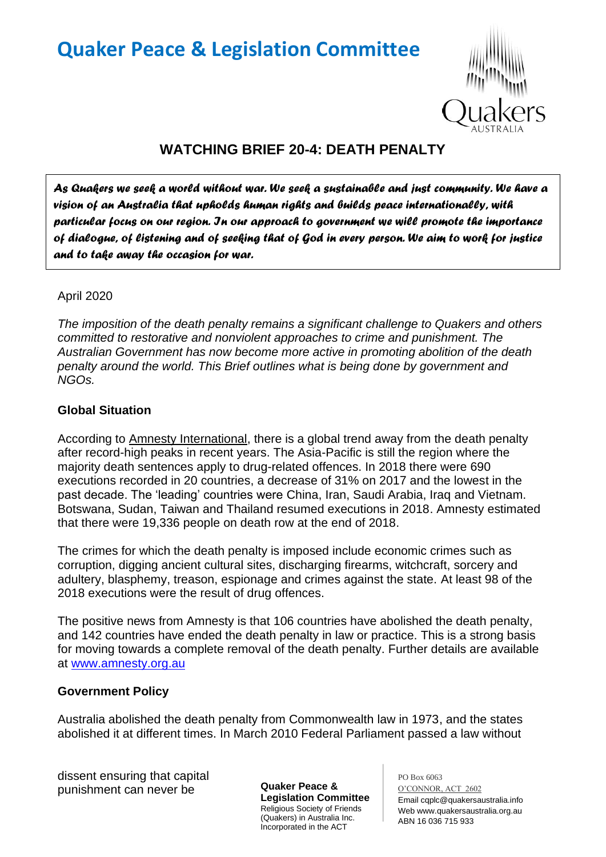# **Quaker Peace & Legislation Committee**



# **WATCHING BRIEF 20-4: DEATH PENALTY**

*As Quakers we seek a world without war. We seek a sustainable and just community. We have a vision of an Australia that upholds human rights and builds peace internationally, with particular focus on our region. In our approach to government we will promote the importance of dialogue, of listening and of seeking that of God in every person. We aim to work for justice and to take away the occasion for war.* 

#### April 2020

*The imposition of the death penalty remains a significant challenge to Quakers and others committed to restorative and nonviolent approaches to crime and punishment. The Australian Government has now become more active in promoting abolition of the death penalty around the world. This Brief outlines what is being done by government and NGOs.*

#### **Global Situation**

According to Amnesty International, there is a global trend away from the death penalty after record-high peaks in recent years. The Asia-Pacific is still the region where the majority death sentences apply to drug-related offences. In 2018 there were 690 executions recorded in 20 countries, a decrease of 31% on 2017 and the lowest in the past decade. The 'leading' countries were China, Iran, Saudi Arabia, Iraq and Vietnam. Botswana, Sudan, Taiwan and Thailand resumed executions in 2018. Amnesty estimated that there were 19,336 people on death row at the end of 2018.

The crimes for which the death penalty is imposed include economic crimes such as corruption, digging ancient cultural sites, discharging firearms, witchcraft, sorcery and adultery, blasphemy, treason, espionage and crimes against the state. At least 98 of the 2018 executions were the result of drug offences.

The positive news from Amnesty is that 106 countries have abolished the death penalty, and 142 countries have ended the death penalty in law or practice. This is a strong basis for moving towards a complete removal of the death penalty. Further details are available at [www.amnesty.org.au](http://www.amnesty.org.au/)

### **Government Policy**

Australia abolished the death penalty from Commonwealth law in 1973, and the states abolished it at different times. In March 2010 Federal Parliament passed a law without

dissent ensuring that capital punishment can never be

**Quaker Peace & Legislation Committee** Religious Society of Friends (Quakers) in Australia Inc. Incorporated in the ACT

PO Box 6063 O'CONNOR, ACT 2602 Email cqplc@quakersaustralia.info Web www.quakersaustralia.org.au ABN 16 036 715 933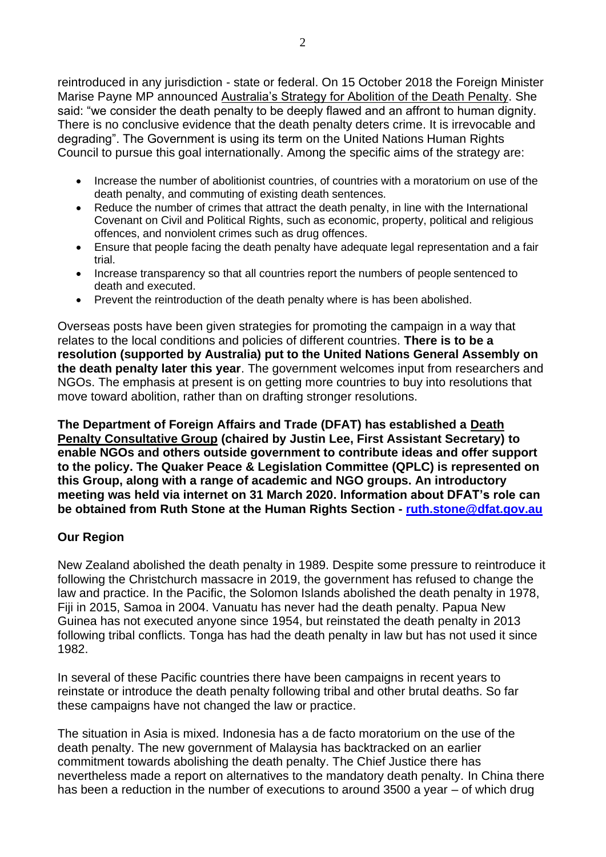reintroduced in any jurisdiction - state or federal. On 15 October 2018 the Foreign Minister Marise Payne MP announced Australia's Strategy for Abolition of the Death Penalty. She said: "we consider the death penalty to be deeply flawed and an affront to human dignity. There is no conclusive evidence that the death penalty deters crime. It is irrevocable and degrading". The Government is using its term on the United Nations Human Rights Council to pursue this goal internationally. Among the specific aims of the strategy are:

- Increase the number of abolitionist countries, of countries with a moratorium on use of the death penalty, and commuting of existing death sentences.
- Reduce the number of crimes that attract the death penalty, in line with the International Covenant on Civil and Political Rights, such as economic, property, political and religious offences, and nonviolent crimes such as drug offences.
- Ensure that people facing the death penalty have adequate legal representation and a fair trial.
- Increase transparency so that all countries report the numbers of people sentenced to death and executed.
- Prevent the reintroduction of the death penalty where is has been abolished.

Overseas posts have been given strategies for promoting the campaign in a way that relates to the local conditions and policies of different countries. **There is to be a resolution (supported by Australia) put to the United Nations General Assembly on the death penalty later this year**. The government welcomes input from researchers and NGOs. The emphasis at present is on getting more countries to buy into resolutions that move toward abolition, rather than on drafting stronger resolutions.

**The Department of Foreign Affairs and Trade (DFAT) has established a Death Penalty Consultative Group (chaired by Justin Lee, First Assistant Secretary) to enable NGOs and others outside government to contribute ideas and offer support to the policy. The Quaker Peace & Legislation Committee (QPLC) is represented on this Group, along with a range of academic and NGO groups. An introductory meeting was held via internet on 31 March 2020. Information about DFAT's role can be obtained from Ruth Stone at the Human Rights Section - [ruth.stone@dfat.gov.au](mailto:ruth.stone@dfat.gov.au)**

### **Our Region**

New Zealand abolished the death penalty in 1989. Despite some pressure to reintroduce it following the Christchurch massacre in 2019, the government has refused to change the law and practice. In the Pacific, the Solomon Islands abolished the death penalty in 1978, Fiji in 2015, Samoa in 2004. Vanuatu has never had the death penalty. Papua New Guinea has not executed anyone since 1954, but reinstated the death penalty in 2013 following tribal conflicts. Tonga has had the death penalty in law but has not used it since 1982.

In several of these Pacific countries there have been campaigns in recent years to reinstate or introduce the death penalty following tribal and other brutal deaths. So far these campaigns have not changed the law or practice.

The situation in Asia is mixed. Indonesia has a de facto moratorium on the use of the death penalty. The new government of Malaysia has backtracked on an earlier commitment towards abolishing the death penalty. The Chief Justice there has nevertheless made a report on alternatives to the mandatory death penalty. In China there has been a reduction in the number of executions to around 3500 a year – of which drug